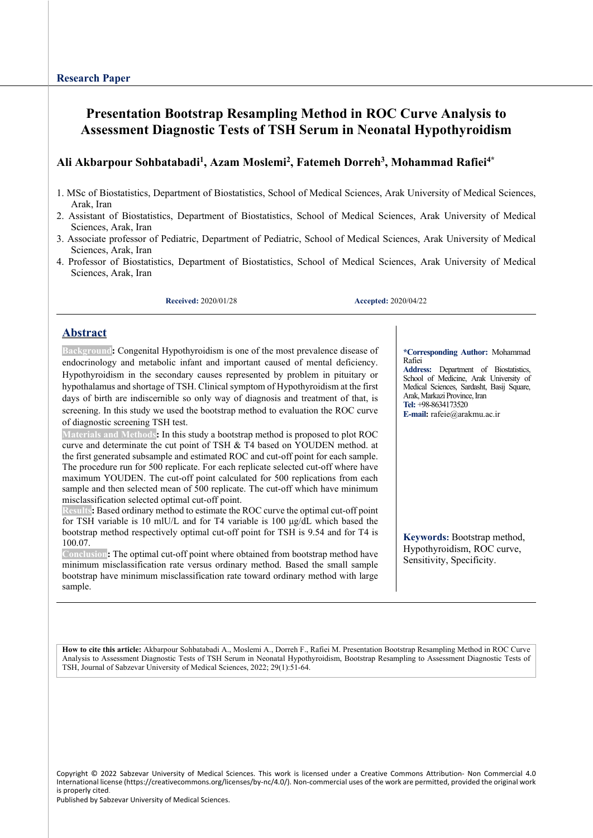# **Presentation Bootstrap Resampling Method in ROC Curve Analysis to Assessment Diagnostic Tests of TSH Serum in Neonatal Hypothyroidism**

## **Ali Akbarpour Sohbatabadi1 , Azam Moslemi2 , Fatemeh Dorreh3, Mohammad Rafiei4\***

- 1. MSc of Biostatistics, Department of Biostatistics, School of Medical Sciences, Arak University of Medical Sciences, Arak, Iran
- 2. Assistant of Biostatistics, Department of Biostatistics, School of Medical Sciences, Arak University of Medical Sciences, Arak, Iran
- 3. Associate professor of Pediatric, Department of Pediatric, School of Medical Sciences, Arak University of Medical Sciences, Arak, Iran
- 4. Professor of Biostatistics, Department of Biostatistics, School of Medical Sciences, Arak University of Medical Sciences, Arak, Iran

**Received:** 2020/01/28 **Accepted:** 2020/04/22

## **Abstract**

**Background:** Congenital Hypothyroidism is one of the most prevalence disease of endocrinology and metabolic infant and important caused of mental deficiency. Hypothyroidism in the secondary causes represented by problem in pituitary or hypothalamus and shortage of TSH. Clinical symptom of Hypothyroidism at the first days of birth are indiscernible so only way of diagnosis and treatment of that, is screening. In this study we used the bootstrap method to evaluation the ROC curve of diagnostic screening TSH test.

**Materials and Methods:** In this study a bootstrap method is proposed to plot ROC curve and determinate the cut point of TSH & T4 based on YOUDEN method. at the first generated subsample and estimated ROC and cut-off point for each sample. The procedure run for 500 replicate. For each replicate selected cut-off where have maximum YOUDEN. The cut-off point calculated for 500 replications from each sample and then selected mean of 500 replicate. The cut-off which have minimum misclassification selected optimal cut-off point.

**Results:** Based ordinary method to estimate the ROC curve the optimal cut-off point for TSH variable is 10 mlU/L and for T4 variable is 100 μg/dL which based the bootstrap method respectively optimal cut-off point for TSH is 9.54 and for T4 is 100.07.

**Conclusion:** The optimal cut-off point where obtained from bootstrap method have minimum misclassification rate versus ordinary method. Based the small sample bootstrap have minimum misclassification rate toward ordinary method with large sample.

**\*Corresponding Author:** Mohammad Rafiei

**Address:** Department of Biostatistics, School of Medicine, Arak University of Medical Sciences, Sardasht, Basij Square, Arak, Markazi Province, Iran **Tel:** +98-8634173520

**E-mail:** rafeie@arakmu.ac.ir

**Keywords:** Bootstrap method, Hypothyroidism, ROC curve, Sensitivity, Specificity.

**How to cite this article:** Akbarpour Sohbatabadi A., Moslemi A., Dorreh F., Rafiei M. Presentation Bootstrap Resampling Method in ROC Curve Analysis to Assessment Diagnostic Tests of TSH Serum in Neonatal Hypothyroidism, Bootstrap Resampling to Assessment Diagnostic Tests of TSH, Journal of Sabzevar University of Medical Sciences, 2022; 29(1):51-64.

Copyright © 2022 Sabzevar University of Medical Sciences. This work is licensed under a Creative Commons Attribution- Non Commercial 4.0 International license (https://creativecommons.org/licenses/by-nc/4.0/). Non-commercial uses of the work are permitted, provided the original work is properly cited.

Published by Sabzevar University of Medical Sciences.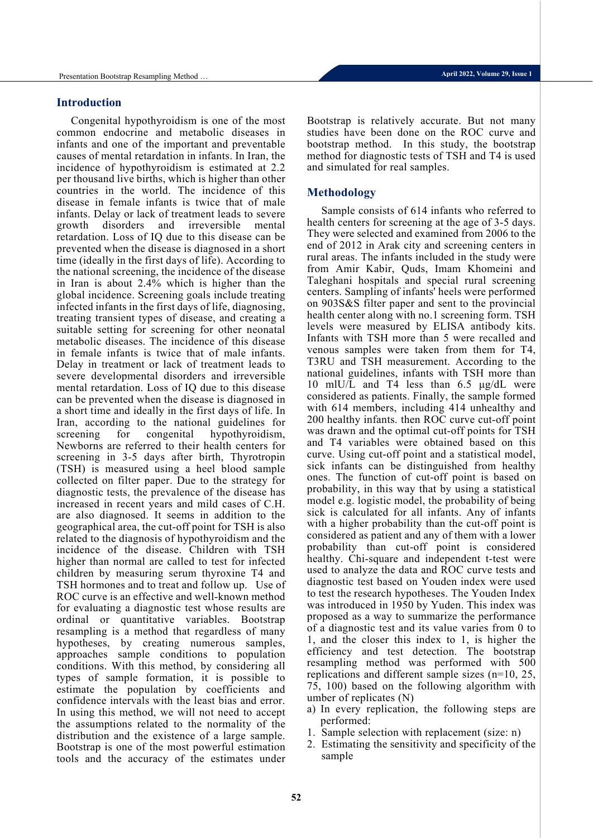## **Introduction**

Congenital hypothyroidism is one of the most common endocrine and metabolic diseases in infants and one of the important and preventable causes of mental retardation in infants. In Iran, the incidence of hypothyroidism is estimated at 2.2 per thousand live births, which is higher than other countries in the world. The incidence of this disease in female infants is twice that of male infants. Delay or lack of treatment leads to severe growth disorders and irreversible mental retardation. Loss of IQ due to this disease can be prevented when the disease is diagnosed in a short time (ideally in the first days of life). According to the national screening, the incidence of the disease in Iran is about 2.4% which is higher than the global incidence. Screening goals include treating infected infants in the first days of life, diagnosing, treating transient types of disease, and creating a suitable setting for screening for other neonatal metabolic diseases. The incidence of this disease in female infants is twice that of male infants. Delay in treatment or lack of treatment leads to severe developmental disorders and irreversible mental retardation. Loss of IQ due to this disease can be prevented when the disease is diagnosed in a short time and ideally in the first days of life. In Iran, according to the national guidelines for screening for congenital hypothyroidism, Newborns are referred to their health centers for screening in 3-5 days after birth, Thyrotropin (TSH) is measured using a heel blood sample collected on filter paper. Due to the strategy for diagnostic tests, the prevalence of the disease has increased in recent years and mild cases of C.H. are also diagnosed. It seems in addition to the geographical area, the cut-off point for TSH is also related to the diagnosis of hypothyroidism and the incidence of the disease. Children with TSH higher than normal are called to test for infected children by measuring serum thyroxine T4 and TSH hormones and to treat and follow up. Use of ROC curve is an effective and well-known method for evaluating a diagnostic test whose results are ordinal or quantitative variables. Bootstrap resampling is a method that regardless of many hypotheses, by creating numerous samples, approaches sample conditions to population conditions. With this method, by considering all types of sample formation, it is possible to estimate the population by coefficients and confidence intervals with the least bias and error. In using this method, we will not need to accept the assumptions related to the normality of the distribution and the existence of a large sample. Bootstrap is one of the most powerful estimation tools and the accuracy of the estimates under Bootstrap is relatively accurate. But not many studies have been done on the ROC curve and bootstrap method. In this study, the bootstrap method for diagnostic tests of TSH and T4 is used and simulated for real samples.

## **Methodology**

Sample consists of 614 infants who referred to health centers for screening at the age of 3-5 days. They were selected and examined from 2006 to the end of 2012 in Arak city and screening centers in rural areas. The infants included in the study were from Amir Kabir, Quds, Imam Khomeini and Taleghani hospitals and special rural screening centers. Sampling of infants' heels were performed on 903S&S filter paper and sent to the provincial health center along with no.1 screening form. TSH levels were measured by ELISA antibody kits. Infants with TSH more than 5 were recalled and venous samples were taken from them for T4, T3RU and TSH measurement. According to the national guidelines, infants with TSH more than 10 mlU/L and T4 less than 6.5 μg/dL were considered as patients. Finally, the sample formed with 614 members, including 414 unhealthy and 200 healthy infants. then ROC curve cut-off point was drawn and the optimal cut-off points for TSH and T4 variables were obtained based on this curve. Using cut-off point and a statistical model, sick infants can be distinguished from healthy ones. The function of cut-off point is based on probability, in this way that by using a statistical model e.g. logistic model, the probability of being sick is calculated for all infants. Any of infants with a higher probability than the cut-off point is considered as patient and any of them with a lower probability than cut-off point is considered healthy. Chi-square and independent t-test were used to analyze the data and ROC curve tests and diagnostic test based on Youden index were used to test the research hypotheses. The Youden Index was introduced in 1950 by Yuden. This index was proposed as a way to summarize the performance of a diagnostic test and its value varies from 0 to 1, and the closer this index to 1, is higher the efficiency and test detection. The bootstrap resampling method was performed with 500 replications and different sample sizes (n=10, 25, 75, 100) based on the following algorithm with umber of replicates (N)

- a) In every replication, the following steps are performed:
- 1. Sample selection with replacement (size: n)
- 2. Estimating the sensitivity and specificity of the sample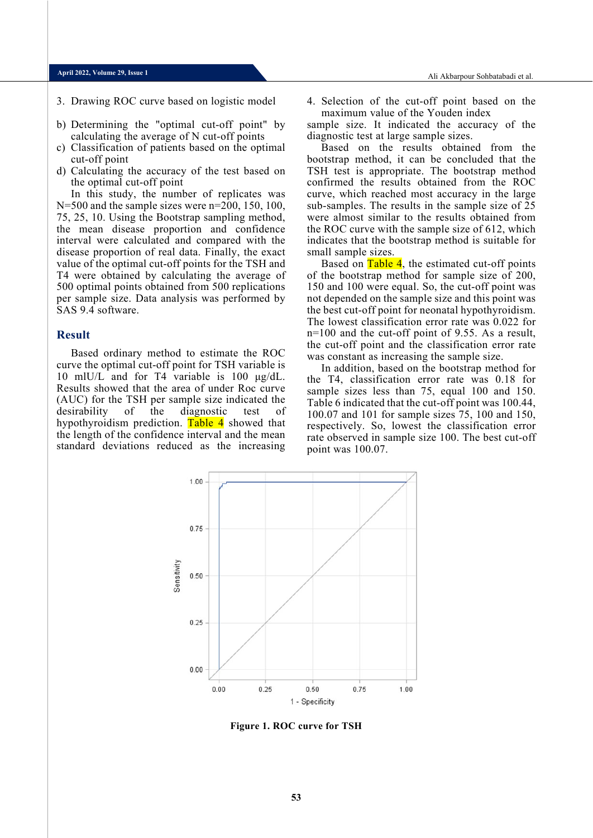## **April 2022, Volume 29, Issue 1**

- 
- b) Determining the "optimal cut-off point" by calculating the average of N cut-off points
- c) Classification of patients based on the optimal cut-off point
- d) Calculating the accuracy of the test based on the optimal cut-off point

In this study, the number of replicates was  $N=500$  and the sample sizes were  $n=200, 150, 100,$ 75, 25, 10. Using the Bootstrap sampling method, the mean disease proportion and confidence interval were calculated and compared with the disease proportion of real data. Finally, the exact value of the optimal cut-off points for the TSH and T4 were obtained by calculating the average of 500 optimal points obtained from 500 replications per sample size. Data analysis was performed by SAS 9.4 software.

#### **Result**

Based ordinary method to estimate the ROC curve the optimal cut-off point for TSH variable is 10 mlU/L and for T4 variable is 100 μg/dL. Results showed that the area of under Roc curve (AUC) for the TSH per sample size indicated the desirability of the diagnostic test of hypothyroidism prediction. Table 4 showed that the length of the confidence interval and the mean standard deviations reduced as the increasing

3. Drawing ROC curve based on logistic model 4. Selection of the cut-off point based on the maximum value of the Youden index

> sample size. It indicated the accuracy of the diagnostic test at large sample sizes.

> Based on the results obtained from the bootstrap method, it can be concluded that the TSH test is appropriate. The bootstrap method confirmed the results obtained from the ROC curve, which reached most accuracy in the large sub-samples. The results in the sample size of 25 were almost similar to the results obtained from the ROC curve with the sample size of 612, which indicates that the bootstrap method is suitable for small sample sizes.

> Based on Table 4, the estimated cut-off points of the bootstrap method for sample size of 200, 150 and 100 were equal. So, the cut-off point was not depended on the sample size and this point was the best cut-off point for neonatal hypothyroidism. The lowest classification error rate was 0.022 for n=100 and the cut-off point of 9.55. As a result, the cut-off point and the classification error rate was constant as increasing the sample size.

> In addition, based on the bootstrap method for the T4, classification error rate was 0.18 for sample sizes less than 75, equal 100 and 150. Table 6 indicated that the cut-off point was 100.44, 100.07 and 101 for sample sizes 75, 100 and 150, respectively. So, lowest the classification error rate observed in sample size 100. The best cut-off point was 100.07.



**Figure 1. ROC curve for TSH**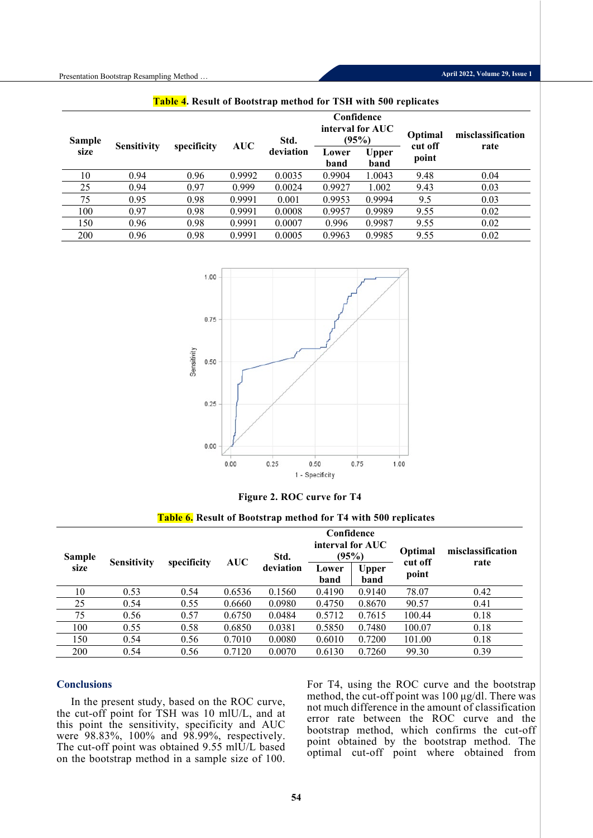| <b>Sample</b> | <b>Sensitivity</b> | specificity | <b>AUC</b> | Std.      | Confidence<br>interval for AUC<br>(95%) |                      | Optimal<br>cut off | misclassification |
|---------------|--------------------|-------------|------------|-----------|-----------------------------------------|----------------------|--------------------|-------------------|
| size          |                    |             |            | deviation | Lower<br>band                           | <b>Upper</b><br>band | point              | rate              |
| 10            | 0.94               | 0.96        | 0.9992     | 0.0035    | 0.9904                                  | 1.0043               | 9.48               | 0.04              |
| 25            | 0.94               | 0.97        | 0.999      | 0.0024    | 0.9927                                  | 1.002                | 9.43               | 0.03              |
| 75            | 0.95               | 0.98        | 0.9991     | 0.001     | 0.9953                                  | 0.9994               | 9.5                | 0.03              |
| 100           | 0.97               | 0.98        | 0.9991     | 0.0008    | 0.9957                                  | 0.9989               | 9.55               | 0.02              |
| 150           | 0.96               | 0.98        | 0.9991     | 0.0007    | 0.996                                   | 0.9987               | 9.55               | 0.02              |
| 200           | 0.96               | 0.98        | 0.9991     | 0.0005    | 0.9963                                  | 0.9985               | 9.55               | 0.02              |

**Table 4. Result of Bootstrap method for TSH with 500 replicates**



**Figure 2. ROC curve for T4**

**Table 6. Result of Bootstrap method for T4 with 500 replicates**

| <b>Sample</b> | <b>Sensitivity</b> | specificity | <b>AUC</b> | Confidence<br>interval for AUC<br>(95%)<br>Std. |                                                    |        | Optimal<br>cut off | misclassification<br>rate |  |
|---------------|--------------------|-------------|------------|-------------------------------------------------|----------------------------------------------------|--------|--------------------|---------------------------|--|
| size          |                    |             |            | deviation                                       | Upper<br>Lower<br>band<br>band<br>0.4190<br>0.9140 |        | point              |                           |  |
| 10            | 0.53               | 0.54        | 0.6536     | 0.1560                                          |                                                    |        | 78.07              | 0.42                      |  |
| 25            | 0.54               | 0.55        | 0.6660     | 0.0980                                          | 0.4750                                             | 0.8670 | 90.57              | 0.41                      |  |
| 75            | 0.56               | 0.57        | 0.6750     | 0.0484                                          | 0.5712                                             | 0.7615 | 100.44             | 0.18                      |  |
| 100           | 0.55               | 0.58        | 0.6850     | 0.0381                                          | 0.5850                                             | 0.7480 | 100.07             | 0.18                      |  |
| 150           | 0.54               | 0.56        | 0.7010     | 0.0080                                          | 0.6010                                             | 0.7200 | 101.00             | 0.18                      |  |
| 200           | 0.54               | 0.56        | 0.7120     | 0.0070                                          | 0.6130                                             | 0.7260 | 99.30              | 0.39                      |  |

## **Conclusions**

In the present study, based on the ROC curve, the cut-off point for TSH was 10 mlU/L, and at this point the sensitivity, specificity and AUC were 98.83%, 100% and 98.99%, respectively. The cut-off point was obtained  $9.55$  ml $\hat{U}/L$  based on the bootstrap method in a sample size of 100. For T4, using the ROC curve and the bootstrap method, the cut-off point was 100 μg/dl. There was not much difference in the amount of classification error rate between the ROC curve and the bootstrap method, which confirms the cut-off point obtained by the bootstrap method. The optimal cut-off point where obtained from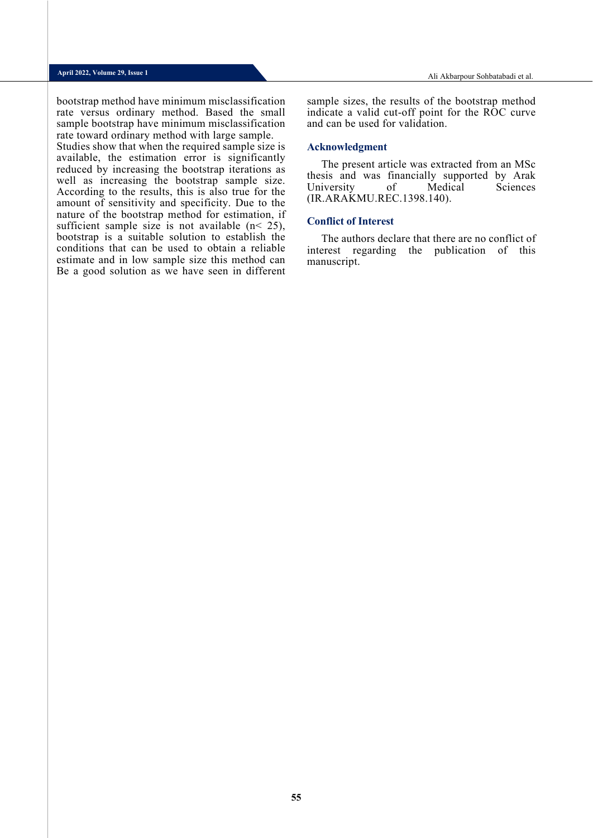Ali Akbarpour Sohbatabadi et al.

bootstrap method have minimum misclassification rate versus ordinary method. Based the small sample bootstrap have minimum misclassification rate toward ordinary method with large sample. Studies show that when the required sample size is available, the estimation error is significantly reduced by increasing the bootstrap iterations as well as increasing the bootstrap sample size. According to the results, this is also true for the amount of sensitivity and specificity. Due to the nature of the bootstrap method for estimation, if sufficient sample size is not available  $(n < 25)$ , bootstrap is a suitable solution to establish the conditions that can be used to obtain a reliable estimate and in low sample size this method can Be a good solution as we have seen in different

sample sizes, the results of the bootstrap method indicate a valid cut-off point for the ROC curve and can be used for validation.

## **Acknowledgment**

The present article was extracted from an MSc thesis and was financially supported by Arak University of Medical Sciences (IR.ARAKMU.REC.1398.140).

#### **Conflict of Interest**

The authors declare that there are no conflict of interest regarding the publication of this manuscript.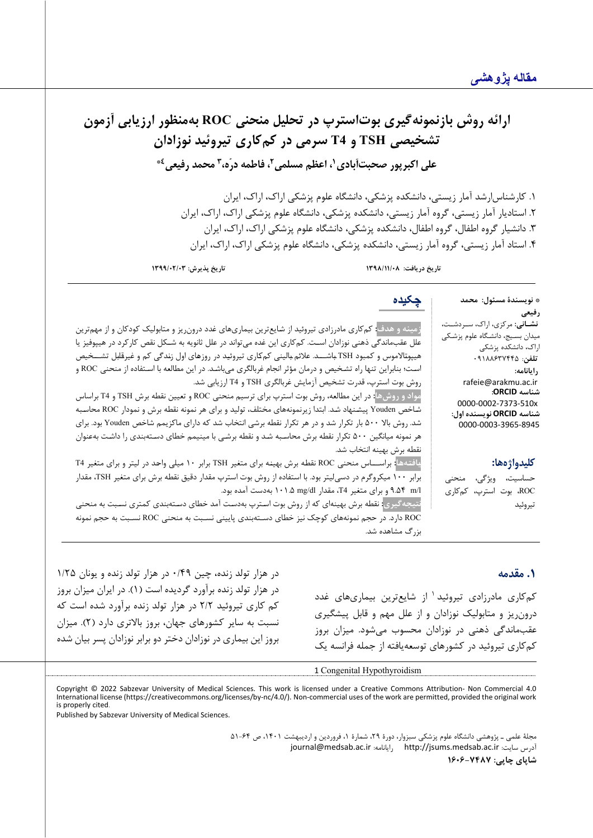# ارائه روش بازنمونه گیری بوت استرپ در تحلیل منحنی ROC بهمنظور ارزیابی آزمون **تشخیص ی TSH و 4T سرم ی در کم کار ي ت یروئید نوزادان 1 علی اکبرپور صحبت آبادي 4\* محمد رفیعی <sup>3</sup> ، فاطمه درّه، <sup>2</sup> ، اعظم مسلمی**

.1 کارشناس ارشد آمار زیستی، دانشکده پزشک ی، دانشگاه علوم پزشکی اراك، اراك، ایران .2 استادیار آمار زیستی، گروه آمار زیستی، دانشکده پزشکی، دانشگاه علوم پزشکی اراك، اراك، ا یران .3 دانشیار گروه اطفال، گروه اطفال، دانشکده پزشکی، دانشگاه علوم پزشکی اراك، اراك، ایران .4 استاد آمار زیستی، گروه آمار زیستی، دانشکده پزشکی، دانشگاه علوم پزشکی اراك، اراك، ا یران

**تاریخ دریافت: /11/08 1398 تاریخ پذیرش: 1399/02/03**

\* **نویسندة مسئول: محمد رفیعی نشـانی:** مرکزي، اراك، ســردشــت، م یدان بسـیج، دانشـگاه علوم پزشـکی اراك، دانشکده پزشکی **تلفن**: 09188637445 **رایانامه:** rafeie@arakmu.ac.ir **شناسه ORCID:** 0000-0002-7373-510x **شناسه ORCID نویسنده اول:** 0000-0003-3965-8945 **چکیده زمینه و هدف:** کمکاري مادرزادي تیروئید از شـایعترین بیماريهاي غدد درونریز و متابولیک کودکان و از مهمترین علل عقبماندگی ذهنی نوزادان اسـت. کمکاري این غده میتواند در علل ثانویه به شـکل نقص کارکرد در هیپوفیز یا هیپوتـالاموس و کمبود TSH بـاشـــد. علائم بـالینی کمکـاري تیروئیـد در روزهـاي اول زنـدگی کم و غیرقـابـل تشـــخیص اسـت؛ بنابراین تنها راه تشـخیص و درمان مؤثر انجام غربالگري میباشـد. در این مطالعه با اسـتفاده از منحنی ROC و روش بوت استرپ، قدرت تشخیص آزمایش غربالگري TSH و 4T ارزیابی شد. **مواد و روشها:** در این مطالعه، روش بوت استرپ براي ترسیم منحنی ROC و تعیین نقطه برش TSH و 4T براساس شـاخص Youden پیشـنهاد شـد. ابتدا زیرنمونههاي مختلف، تولید و براي هر نمونه نقطه برش و نمودار ROC محاسـبه شد. روش بالا 500 بار تکرار شد و در هر تکرار نقطه برشی انتخاب شد که داراي ماکزیمم شاخص Youden بود. براي هر نمونه میانگین 500 تکرار نقطه برش محاسـبه شـد و نقطه برشـی با مینیمم خطاي دسـتهبندي را داشـت بهعنوان

## **کلیدواژهها:**

**.1 مقدمه**

حساسیت، ویژگی، منحنی ROC، بوت استرپ، کم کار ي ت یروئید

در هزار تولد زنده، چین 0/49 در هزار تولد زنده و یونان 1/25

**یـافتـههـا:** براســـاس منحنی ROC نقطـه برش بهینـه براي متغیر TSH برابر 10 میلی واحـد در لیتر و براي متغیر 4T برابر 100 میکروگرم در دسیلیتر بود. با استفاده از روش بوت استرپ مقدار دقیق نقطه برش براي متغیر TSH، مقدار

**نتیجهگیري:** نقطه برش بهینهاي که از روش بوت اسـترپ بهدسـت آمد خطاي دسـتهبندي کمتري نسـبت به منحنی ROC دارد. در حجم نمونههاي کوچک نیز خطاي دسـتهبندي پایینی نسـبت به منحنی ROC نسـبت به حجم نمونه

> کم کاري مادرزادي تيروئيد<sup>1</sup> از شایع ترین بیماري هاي غدد درونریز و متابولیک نوزادان و از علل مهم و قابل پیشگیري عقب ماندگی ذهنی در نوزادان محسوب میشود. میزان بروز کم کاري تیروئید در کشورهاي توسعهیافته از جمله فرانسه یک

در هزار تولد زنده برآورد گردیده است (1). در ایران میزان بروز کم کاري تیروئید 2/2 در هزار تولد زنده برآورد شده است که نسبت به سایر کشورهاي جهان، بروز بالاتري دارد (2). میزان بروز این بیماري در نوزادان دختر دو برابر نوزادان پسر بیان شده

[1](#page-5-0) Congenital Hypothyroidism

نقطه برش بهینه انتخاب شد.

بزرگ مشاهده شد.

l/m 9.54 و براي متغیر 4T، مقدار dl/mg 101.5 بهدست آمده بود.

<span id="page-5-0"></span>Copyright © 2022 Sabzevar University of Medical Sciences. This work is licensed under a Creative Commons Attribution- Non Commercial 4.0 International license (https://creativecommons.org/licenses/by-nc/4.0/). Non-commercial uses of the work are permitted, provided the original work is properly cited.

Published by Sabzevar University of Medical Sciences.

مجلۀ علمی ـ پژوهشی دانشگاه علوم پزشکی سبزوار، دورة ،29 شمارة ،1 فروردین و اردیبهشت ،1401 ص 51-64 [journal@medsab.ac.ir](mailto:journal@medsab.ac.ir) :رایانامه [http://jsums.medsab.ac.ir](http://jsums.medsab.ac.ir/) :سایت آدرس

**شاپاي چاپی: 1606-7487**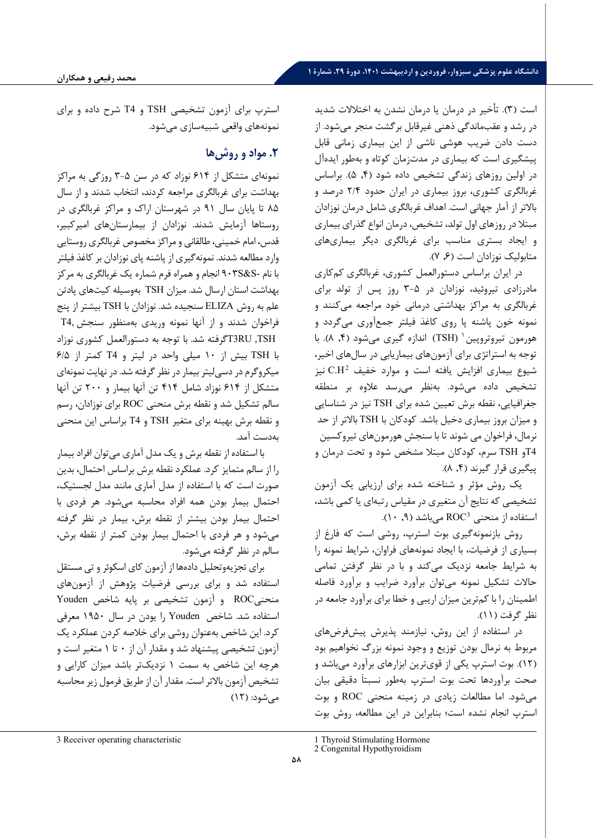## **دانشگاه علوم پزشکی سبزوار، فروردین و اردیبهشت ،1401 دورة ،29 شمارة 1**

است (3). تأخیر در درمان یا درمان نشدن به اختلالات شدید در رشد و عقب ماندگی ذهنی غیرقابل برگشت منجر می شود. از دست دادن ضریب هوشی ناشی از این بیماري زمانی قابل پیشگیري است که بیماري در مدتزمان کوتاه و بهطور ایدهآل در اولین روزهاي زندگی تشخیص داده شود (,4 5). براساس غربالگري کشوري ، بروز بیماري در ایران حدود 2/4 درصد و بالاتر از آمار جهانی است. اهداف غربالگري شامل درمان نوزادان مبتلا در روزهاي اول تولد، تشخیص، درمان انواع گذراي بیماري و ایجاد بستري مناسب براي غربالگري دیگر بیماري هاي متابولیک نوزادان است (,6 7) .

در ایران براساس دستورالعمل کشوري ، غربالگري کمکاري مادرزادي تیروئید، نوزادان در 3-5 روز پس از تولد براي غربالگري به مراکز بهداشتی درمانی خود مراجعه می کنند و نمونه خون پاشنه پا روي کاغذ فیلتر جمعآوري میگردد و هورمون تیروتروپین ( TSH) اندازه گیری میشود (۴, ۸). با توجه به استراتژي براي آزمونهاي بیماریابی در سال هاي اخیر، شیوع بیماری افزایش یافته است و موارد خفیف C.H<sup>2</sup> نیز تشخیص داده می شود. بهنظر میرسد علاوه بر منطقه جغرافیایی، نقطه برش تعیین شده براي TSH نیز در شناسایی و میزان بروز بیماري دخیل باشد. کودکان با TSH بالاتر از حد نرمال، فراخوان می شوند تا با سنجش هورمونهاي تیروکسین 4Tو TSH سرم، کودکان مبتلا مشخص شود و تحت درمان و پیگیري قرار گیرند (۴, ۸).

یک روش مؤثر و شناخته شده براي ارزیابی یک آزمون تشخیصی که نتایج آن متغیري در مقیاس رتبه اي یا کمی باشد، استفاده از منحنی [ROC](#page-6-0)<sup>3</sup> میباشد (۰, ۹).

روش بازنمونهگیري بوت استرپ، روشی است که فارغ از بسیاري از فرضیات، با ایجاد نمونههاي فراوان، شرایط نمونه را به شرایط جامعه نزدیک میکند و با در نظر گرفتن تمامی حالات تشکیل نمونه می توان برآورد ضرایب و برآورد فاصله اطمینان را با کم ترین میزان اریبی و خطا براي برآورد جامعه در نظر گرفت (11).

در استفاده از این روش، نیازمند پذیرش پیشفرضهاي مربوط به نرمال بودن توزیع و وجود نمونه بزرگ نخواهیم بود (12). بوت استرپ یکی از قوي ترین ابزارهاي برآورد می باشد و صحت برآوردها تحت بوت استرپ بهطور نسبتاَ دقیقی بیان می شود. اما مطالعات زیادي در زمینه منحنی ROC و بوت استرپ انجام نشده است؛ بنابراین در این مطالعه، روش بوت

استرپ براي آزمون تشخیصی TSH و 4T شرح داده و براي نمونه هاي واقعی شبیه سازي می شود.

# **.2 مواد و روشها**

نمونهای متشکل از ۶۱۴ نوزاد که در سن ۵-۳ روزگی به مراکز بهداشت براي غربالگري مراجعه کردند، انتخاب شدند و از سال 85 تا پایان سال 91 در شهرستان اراك و مراکز غربالگري در روستاها آزمایش شد ند. نوزادان از بیمارستان هاي امیرکبیر، قدس، امام خمینی، طالقانی و مراکز مخصوص غربالگري روستایی وارد مطالعه شدند. نمونه گیري از پاشنه پاي نوزادان بر کاغذ فیلتر با نام -S&S903 انجام و همراه فرم شماره یک غربالگري به مرکز بهداشت استان ارسال شد. میزان TSH ب ه وسیله کیت هاي پادتن علم به روش ELIZA سنجیده شد. نوزادان با TSH بیشتر از پنج فراخوان شدند و از آنها نمونه وریدي به منظور سنجش 4,T TSH, RU3Tگرفته شد. با توجه به دستورالعمل کشوري نوزاد با TSH بیش از 10 میلی واحد در لیتر و 4T کمتر از /5 6 میکروگرم در دسی لیتر بیمار در نظر گرفته شد. در نهایت نمونه اي متشکل از 614 نوزاد شامل 414 تن آنها بیمار و 200 ت ن آنها سالم تشکیل شد و نقطه برش منحنی ROC براي نوزادان ، رسم و نقطه برش بهینه براي متغیر TSH و 4T براساس این منحنی ب ه دست آمد.

با استفاده از نقطه برش و یک مدل آماری می توان افراد بیمار را از سالم متمایز کرد. عملکرد نقطه برش براساس احتمال، بدین صورت است که با استفاده از مدل آماري مانند مدل لجستیک، احتمال بیمار بودن همه افراد محاسبه می شود. هر فردي با احتمال بیمار بودن بیشتر از نقطه برش ، بیمار در نظر گرفته می شود و هر فر دي با احتمال بیمار بودن کمتر از نقطه برش ، سالم در نظر گرفته می شود.

براي تجزیه وتحلیل داده ها از آزمون کاي اسکوئر و تی مستقل استفاده شد و براي بررسی فرضیات پژوهش از آزمون هاي منحنی ROC و آزمون تشخیصی بر پایه شاخص Youden استفاده شد. شاخص Youden را یودن در سال 1950 معرفی کر د. این شاخص به عنوان روشی براي خلاصه کردن عملکرد یک آزمون تشخیصی پیشنهاد شد و مقدار آن از 0 تا 1 متغیر است و هرچه این شاخص به سمت 1 نزدیک تر باشد میزان کارایی و تشخیص آزمون بالاتر است. مقدار آن از طریق فرمول زیر محاسبه می شود : ( 12)

<sup>1</sup> Thyroid Stimulating Hormone

<sup>2</sup> Congenital Hypothyroidism

<span id="page-6-1"></span><span id="page-6-0"></span><sup>3</sup> Receiver operating characteristic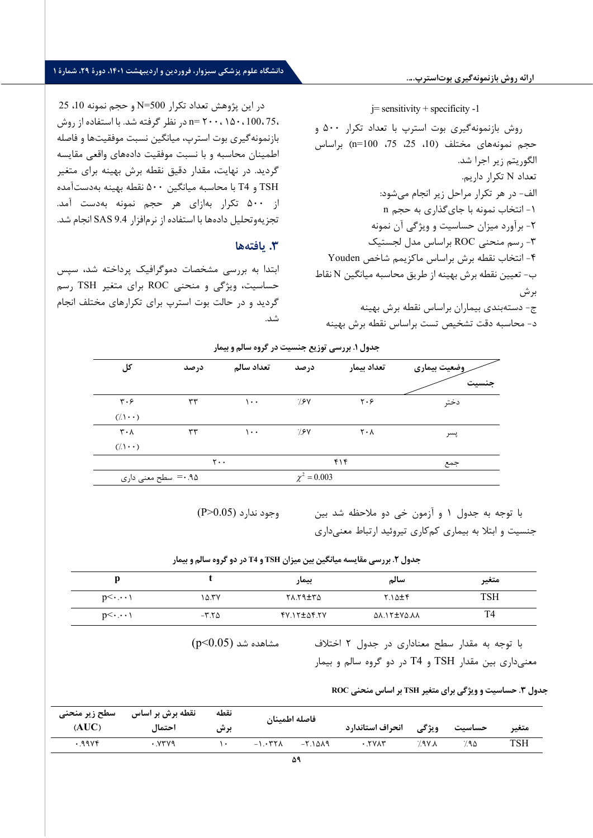## **ارائه روش بازنمونهگیري بوتاسترپ....**

# **دانشگاه علوم پزشکی سبزوار، فروردین و اردیبهشت ،1401 دورة ،29 شمارة 1**

 $10$  در این پژوهش تعداد تکرار N=500 و حجم نمونه 10، 25 ، 75 ، 100 ، 150 ، 200 =n در نظر گرفته شد. با استفاده از روش بازنمونه گیري بوت استرپ، میانگین نسبت موفقیت ها و فاصله اطمینان محاسبه و با نسبت موفقیت دادههای واقعی مقایسه گردید. در نهایت، مقدار دقیق نقطه برش بهینه برای متغیر TSH و 4T با محاسبه میانگین 500 نقطه بهینه ب ه دست آمده از 500 تکرار به ازاي هر حجم نمونه به دست آمد. تجزیه وتحلیل داده ها با استفاده از نرم افزار 9.4 SAS انجام شد.

## **.3 یافته ها**

ابتدا به بررسی مشخصات دموگرافیک پرداخته شد، سپس حساسیت، ویژگی و منحنی ROC براي متغیر TSH رسم گردید و در حالت بوت استرپ براي تکرارهاي مختلف انجام شد.

 $j=$  sensitivity + specificity -1

روش بازنمونه گیري بوت استرپ با تعداد تکرار 500 و حجم نمونههاي مختلف (10، 25، 100=n) براساس الگوریتم زیر اجرا شد. تعداد N تکرار داریم. الف - در هر تکرار مراحل زیر انجام می شود: -1 انتخاب نمونه با جاي گذاري به حجم n -2 برآورد میزان حساسیت و ویژگی آن نمونه -3 رسم منحنی ROC براساس مدل لجستیک -4 انتخاب نقطه برش براساس ماکزیمم شاخص Youden ب - تعیین نقطه برش بهینه از طریق محاسبه میانگین N نقاط برش ج - دسته بندي بیماران براساس نقطه برش بهینه د - محاسبه دقت تشخیص تست براساس نقط ه برش بهینه

|  |  |  |  | جدول ۱. بررسی توزیع جنسیت در گروه سالم و بیمار |  |  |  |
|--|--|--|--|------------------------------------------------|--|--|--|
|--|--|--|--|------------------------------------------------|--|--|--|

| کل                            | درصد       | تعداد سالم                    | درصد             | تعداد بيمار                   | وضعيت بيماري<br>جنست |
|-------------------------------|------------|-------------------------------|------------------|-------------------------------|----------------------|
| $\mathbf{r} \cdot \mathbf{r}$ | $\tau\tau$ | ۱۰۰                           | 7.8V             | $\mathbf{y} \cdot \mathbf{y}$ | دختر                 |
| $(1 \cdot \cdot)$             |            |                               |                  |                               |                      |
| $\mathbf{r} \cdot \mathbf{v}$ | $\tau\tau$ | $\cdots$                      | 7.8V             | $\mathsf{r} \cdot \mathsf{v}$ | پسر                  |
| $(1 \cdot \cdot)$             |            |                               |                  |                               |                      |
|                               |            | $\mathbf{y} \cdot \mathbf{y}$ |                  | ۴۱۴                           | جمع                  |
| ۹۵. •= سطح معنی داری          |            |                               | $\chi^2 = 0.003$ |                               |                      |

 $(P>0.05)$ وجود ندارد

با توجه به جدول 1 و آزمون خی دو ملاحظه شد بین جنسیت و ابتلا به بیماري کم کاري تیروئید ارتباط معنی داري

**جدول .2 بررسی مقایسه میانگین بین میزان TSH و 4T در دو گروه سالم و بیمار** 

|            |              | بيمار              | سالم                     | متغير      |
|------------|--------------|--------------------|--------------------------|------------|
| $p<\cdots$ | ۱۵.۳۷        | <b>ATTRT.AT</b>    | $Y \Lambda \Delta \pm 5$ | <b>TSH</b> |
| $p<\cdots$ | $-7.7\Delta$ | <b>FV.17±84.7V</b> | <b>AA.17±YA.AA</b>       | T4         |

 $(p<0.05)$  مشاهده شد

با توجه به مقدار سطح معناداري در جدول 2 اختلاف معنی داري بین مقدار TSH و 4T در دو گروه سالم و بیمار

**جدول .3 حساسیت و ویژگی براي متغیر TSH بر اساس منحنی ROC**

| سطح زير منحنى | نقطه برش بر اساس | نقطه | فاصله اطمينان         |                    |                  |        |       |
|---------------|------------------|------|-----------------------|--------------------|------------------|--------|-------|
| $\rm (AUC)$   | احتماا           | برش  |                       | انحراف استاندارد   | ويژگى            | حساسيت | متغير |
| .99Yf         | ۷۳۷۹.            |      | $-1.577$<br>$-7.1019$ | $\cdot$ . $\gamma$ | $\lambda$ . Y P. | ∀۹∆    | TSH   |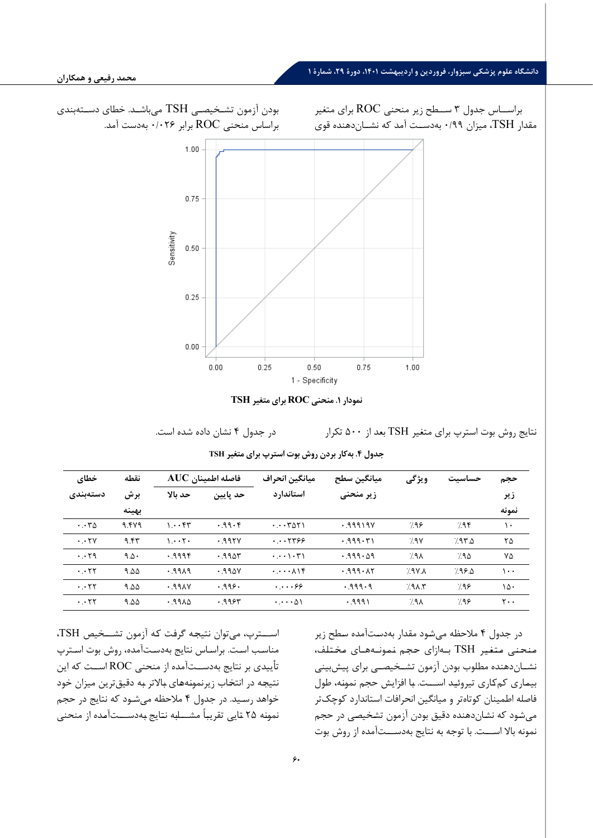

ار متارپ بوت بوت براي متغیر است.

| خطاى                                  | نقطه        |                                       | $\mathbf{AUC}$ فاصله اطمينان | ميانگين انحراف                                       | ميانگين سطح      | ويژگى            | حساسيت | حجم                         |
|---------------------------------------|-------------|---------------------------------------|------------------------------|------------------------------------------------------|------------------|------------------|--------|-----------------------------|
| دستەبندى                              | برش         | حد ىالا                               | حد پایین                     | استاندار د                                           | زیر منحنی        |                  |        | زير                         |
|                                       | بهينه       |                                       |                              |                                                      |                  |                  |        | نمونه                       |
| $\cdot \cdot r$ ۵                     | 9.479       | $\mathcal{N} \cdot \cdot \mathcal{F}$ | .99.5                        | $\cdots$ $\uparrow$ $\uparrow$ $\uparrow$ $\uparrow$ | .99919V          | 798              | 7.95   | ۱۰                          |
| $\cdot \cdot \tau$                    | 9.55        | $1 \cdot \cdot 7 \cdot$               | .995V                        | $\cdots$                                             | ۳۱ ۱۳۱۹.۰        | 7.9V             | 7.97.2 | ۲۵                          |
| $\cdot \cdot$ $\cdot$ $\cdot$ $\cdot$ | $9.0 \cdot$ | .999f                                 | .9905                        | $\cdot \cdot \cdot \cdot$                            | $0.999 \cdot 09$ | $7.9\lambda$     | 7.90   | ٧Δ                          |
| $\cdot \cdot \tau\tau$                | ۹.۵۵        | PAP.                                  | $.99\text{aV}$               | $\cdot \cdot \cdot \cdot \wedge \cdot \cdot$         | 0.999.17         | 7.9Y             | 7.99.0 | ۱۰۰                         |
| $\cdot \cdot \tau\tau$                | ۹.۵۵        | .99AV                                 | .999.                        | $\cdots$ .                                           | .999.9           | 7.9A.5           | 9۶.7   | ١۵٠                         |
| $\cdot \cdot$ $\cdot$ $\cdot$ $\cdot$ | ۹.۵۵        | $0.19A\Delta$                         | .995                         | $\cdots \wedge$                                      | ۶۹۹۹۱.           | 7.9 <sub>A</sub> | 7.98   | $\mathsf{r}\cdot\mathsf{r}$ |

|  |  |  |  | جدول ۴. بهکار بردن روش بوت استرپ برای متغیر TSH |  |  |  |
|--|--|--|--|-------------------------------------------------|--|--|--|
|--|--|--|--|-------------------------------------------------|--|--|--|

در جدول 4 ملاحظه میشـود مقدار بهدسـتآمده سـطح زیر مـنـحـنـی مـتـغـیـر TSH بـهازاي حـجـم نـمـونـههـاي مـخـتـلـف، نشــاندهنده مطلوب بودن آزمون تشــخیصــی براي پیشبینی بیمـاري کمکـاري تیروئیـد اســـت. بـا افزایش حجم نمونـه، طول فاصله اطمینان کوتاهتر و میانگین انحرافات استاندارد کوچکتر میشـود که نشـاندهنده دقیق بودن آزمون تشـخیصـی در حجم نمونه بالا اســـت. با توجه به نتایج بهدســـتآمده از روش بوت

اســـترپ، میتوان نتیجـه گرفـت کـه آزمون تشـــخیص TSH، مناسـب اسـت. براسـاس نتایج بهدسـتآمده، روش بوت اسـترپ تأییدي بر نتایج بهدســتآمده از منحنی ROC اســت که این نتیجـه در انتخـاب زیرنمونـههـاي بـالاتر بـه دقیقترین میزان خود خواهد رسـید. در جدول 4 ملاحظه میشـود که نتایج در حجم نمونـه 25 تـایی تقریبـاً مشـــابـه نتـایج بـهدســـتآمـده از منحنی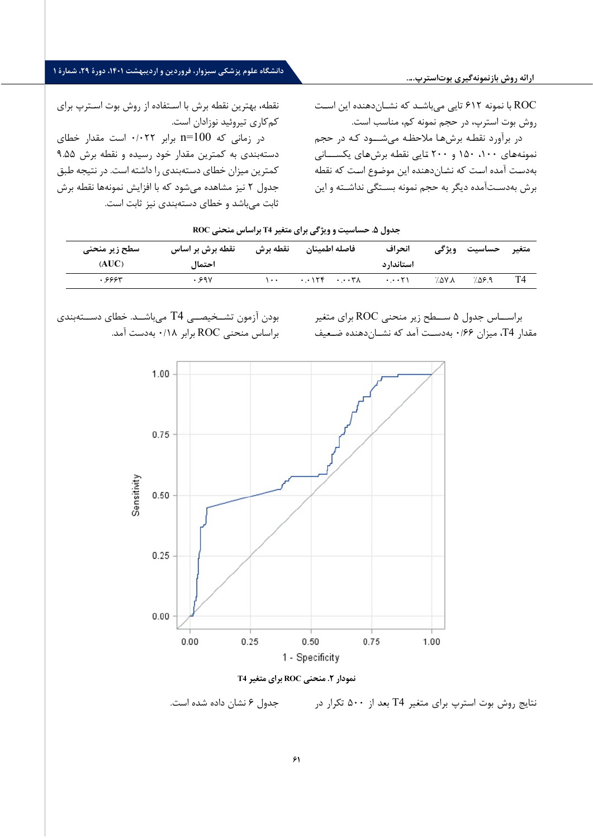**ارائه روش بازنمونهگیري بوتاسترپ....**

# **دانشگاه علوم پزشکی سبزوار، فروردین و اردیبهشت ،1401 دورة ،29 شمارة 1**

نقطه، بهترین نقطه برش با اسـتفاده از روش بوت اسـترپ براي کمکاري تیروئید نوزادان است.

در زمانی که 100=n برابر ۰/۰۲۲ است مقدار خطای دستهبندي به کمترین مقدار خود رسیده و نقطه برش 9.55 کمترین میزان خطاي دسته بندي را داشته است. در نتیجه طبق جدول 2 نیز مشاهده میشود که با افزایش نمونه ها نقطه برش ثابت می باشد و خطاي دستهبندي نیز ثابت است .

ROC با نمونه 612 تایی میباشـد که نشـاندهنده این اسـت روش بوت استرپ، در حجم نمونه کم، مناسب است. در برآورد نقطـه برشهـا ملاحظـه میشـــود کـه در حجم نمونـههـاي ،100 150 و 200 تـایی نقطـه برشهـاي یکســـانی بهدسـت آمده اسـت که نشـاندهنده این موضـوع اسـت که نقطه برش بهدسـتآمده دیگر به حجم نمونه بسـتگی نداشـته و این

## **جدول .5 حساسیت و ویژگی براي متغیر 4T براساس منحنی ROC**

| سطح زير منحنى<br>(AUC) | نقطه برش بر اساس<br>احتماإ | نقطه برش         | فاصله اطمينان | انحراف<br>استاندار د   | ويژگى | حساسيت | متغير |
|------------------------|----------------------------|------------------|---------------|------------------------|-------|--------|-------|
| 733ء .                 | .999                       | $\bullet\bullet$ |               | $\cdot \cdot \cdot 51$ | ۸.۷۵٪ | ۹.۹۵٪′ | T4    |

بودن آزمون تشــخیصــی 4T میباشــد. خطاي دســتهبندي براساس منحنی ROC برابر 0/18 بهدست آمد. براســاس جدول 5 ســطح زیر منحنی ROC براي متغیر مقدار 4T، میزان 0/66 بهدســت آمد که نشــاندهنده ضــعیف





نتایج روش بوت استرپ براي متغیر 4T بعد از 500 تکرار در جدول 6 نشان داده شده است.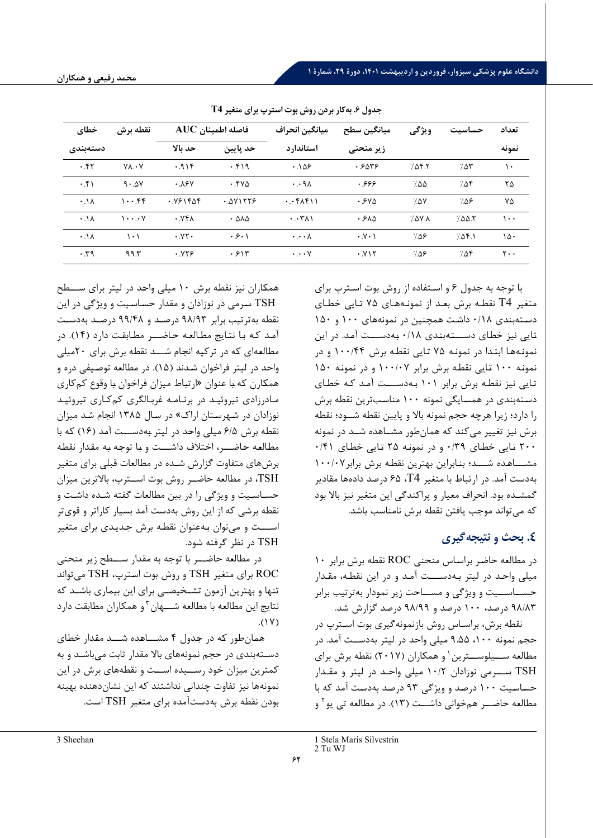| خطاى            | نقطه برش                                          | فاصله اطمينان AUC |          | ميانگين انحراف              | ميانگين سطح         | ويژگى  | حساسىت | تعداد        |
|-----------------|---------------------------------------------------|-------------------|----------|-----------------------------|---------------------|--------|--------|--------------|
| دستەبندى        |                                                   | حد بالا           | حد پایین | استاندارد                   | زیر منحنی           |        |        | نمونه        |
| .57             | $V \Lambda \cdot V$                               | .91f              | .519     | $.1\Delta$ ۶                | ۰.۶۵۳۶              | 7.05.5 | 7.05   | ۱۰           |
| .51             | $9 \cdot \Delta V$                                | .18V              | $.54\%$  | $\cdot \cdot$ 9 $\wedge$    | .999                | 7.00   | 7.08   | ۲۵           |
| $\cdot \Lambda$ | 1.55                                              | .981888           | .011779  | $. F_{\Lambda} F_{\Lambda}$ | $.54\alpha$         | 7.۵۷   | 7.08   | ۷۵           |
| $\cdot \Lambda$ | $\mathcal{N} \cdot \cdot \cdot \cdot \mathcal{N}$ | .951              | .010     | $\cdot \cdot \tau$          | .510                | 7.0Y   | 7.00.7 | ۱۰۰          |
| $\cdot \Lambda$ | ۱۰۱                                               | .11               | .5.1     | $\cdot \cdot \cdot \wedge$  | $\cdot$ Y $\cdot$ \ | ۶∆.⁄   | 7.05.1 | ۱۵۰          |
| .59             | 99.5                                              | .979              | .515     | $\cdot \cdot \cdot \vee$    | . Y <sub>Y</sub>    | ۶∆.⁄   | 7.05   | $\mathsf{y}$ |

**جدول .6 به کار بردن روش بوت استرپ برا ي متغ یر 4T**

همکـاران نیز نقطـه برش 10 میلی واحـد در لیتر براي ســـطح TSH سـرمی در نوزادان و مقدار حسـاسـیت و ویژگی در این نقطه به ترتیب برابر /93 98 درصـد و /48 99 درصـد به دسـت آمـد کـه بـا نتـایج مطـالعـه حـاضـــر مطـابقـت دارد ( 14) . در مطالعهای که در ترکیه انجام شــد نقطه برش برای ۲۰میلی و احد در لیتر فراخوان شـدند ( 15) . در مطالعه توصـیفی دره و همکـارن کـه بـا عنوان « ارتبـاط میزان فراخوان بـا وقوع کم کاري مـادرزادي تیروئیـد در ب رنـامـه غربـالگري کم کـاري تیروئیـد نوزادان در شـهرسـتان اراك » در سـال 1385 ا نجام شـد میزان نقطـه برش /5 6 میلی واحـد در لیتر بـه دســـت آمـد ( 16) کـه با مطـالعـه حـاضـــر ، اختلاف داشـــت و بـا توجـه بـه مقـدار نقطـه برش هاي متفاوت گزارش شـده در مطالعات قبلی براي متغیر TSH، در مطالعه حاضــر روش بوت اســترپ ، بالاترین میزان حسـاسـیت و ویژگی را در بین مطالعات گفته شـده داشـت و نقطه بر شی که از این روش ب ه دست آمد بسیار کاراتر و قوي تر اســـت و می توان بـه عنوان نقطـه برش جـدیـدي براي متغیر TSH در نظر گرفته شود.

 در مطالعه حاضـــر با توجه به مقدار ســـطح زیر منحنی ROC براي متغیر TSH و روش بوت اسـترپ، TSH می تواند تنها و بهترین آزمون تشــخیصــی براي این بیماري باشــد که نتایج این مطالعه با مطالعه شـــهان <sup>۳</sup>و همکاران مطابقت دارد  $.$ ( $\forall$ 

همـان طور کـه در جـدول [4](#page-10-0) مشـــاهـده شـــد مقـدار خطـاي دسـتهبندي در حجم نمونههاي بالا مقدار ثابت ميباشـد و به کمترین میزان خود رســیده اســت و نقطه هاي برش در این نمونه ها نیز تفاوت چندانی نداشتند که این نشان دهنده بهینه بودن نقطه برش ب ه دست آمده براي متغیر TSH است. با توجه به جدول 6 و اسـتفاده از روش بوت اسـترپ براي متغیر 4T نقطـه برش بعـد از نمونـه هـاي 75 تـایی خطـاي دسـته بندي /18 0 داشـت همچنین در نمونه هاي 100 و 150 تـایی نیز خطـاي دســـتـه بنـدي /18 0 بـه دســـت آمـد. در این نمونـه هـا ابتـدا در نمونـه 75 تـایی نقطـه برش /44 100 و در نمونـه 100 تـایی نقطـه برش برابر /07 100 و در نمونـه 150 تـایی نیز نقطـه برش برابر 101 بـه دســـت آمـد کـه خطـاي دسـته بندي در همسـایگی نمونه 100 مناسـب ترین نقطه برش را دارد؛ زیرا هرچه حجم نمونه بالا و پایین نقطه شـود؛ نقطه برش نیز تغییر می کند که همان طور مشــاهده شــد در نمونه 200 تـایی خطـاي /39 0 و در نمونـه 25 تـایی خطـاي /41 0 مشـــاهـده شـــد ؛ بنـابراین بهترین نقطـه برش برابر /07 100 ب ه دست آمد. در ارتباط با متغیر 4T، 65 درصد داده ها مقادیر گمشـده بود. انحراف معیار و پراکندگی این متغیر نیز بالا بود که می تواند موجب یافتن نقطه برش نامناسب باشد.

# **.4 بحث و نتیجه گیري**

در مطالعه حاضـر براسـاس منحنی ROC نقطه برش برابر 10 میلی واحـد در لیتر بـه دســـت آمـد و در این نقطـه ، مقـدار حســاســیت و ویژگی و مســاحت زیر نمودار به ترتیب برابر /83 98 درصد ، 100 درصد و /99 98 درصد گزارش شد.

نقطه برش، براسـاس روش بازنمونه گیري بوت اسـترپ در حجم نمونه ۱۰۰، ۹.۵۵ میلی واحد در لیتر به دســت آمد. در مطالعه ســیلوســترین ( و همکاران (۲۰۱۷) نقطه برش برای TSH ســـرمی نوزادان /2 10 میلی واحـد در لیتر و مقـدار حسـاسـیت 100 درصـد و ویژگی 93 درصـد به دسـت آمد که با مطالعه حاضــر همخوانی داشــت (١٣). در مطالعه تی یو آ و

<span id="page-10-1"></span><span id="page-10-0"></span>[3 Sheehan](https://www.ncbi.nlm.nih.gov/pubmed/?term=Sheehan%20MT%5BAuthor%5D&cauthor=true&cauthor_uid=27231117)

[<sup>1</sup>](#page-10-1) Stela Maris Silvestrin 2 Tu WJ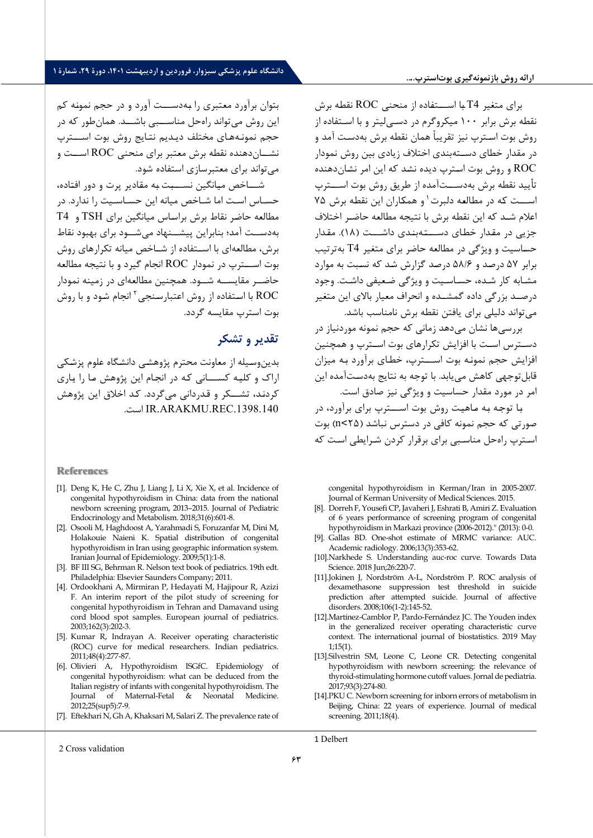براي متغیر 4T بـا اســـتفـاده از منحنی ROC نقطـه برش نقطه برش برابر 100 میکروگرم در دسـی لیتر و با اسـتفاده از روش بوت اسـترپ نیز تقریباً همان نقطه برش بهدسـت آمد و در مقدار خطاي دسـته بندي اختلاف زیادي بین ر وش نمودار ROC و روش بوت اسـترپ دیده نشـد که این امر نشـان دهنده تأييد نقطه برش به دســـتآمده از طريق روش بوت اســـترپ اســت که در مطالعه دلبرت<sup>\</sup> و همکاران این نقطه برش ۷۵ اعلام شـد که این نقطه برش با نتیجه مطالعه حاضـر اختلاف جزیی در مقـدار خطـاي دســـتـه بنـدي داشـــت ( 18). مقـدار حسـاسیت و ویژگی در مطالعه حاضر براي متغیر 4T به ترتیب برابر 57 درصـد و /6 58 درصـد گزارش شـد که نسـبت به موارد مشـابه کار شـده ، حسـاسـیت و ویژگی ضـعیفی د اشـت . وجود درصــد بزرگی داده گمشــده و انحراف معیار بالاي این متغیر می تواند دلیلی براي یافتن نقطه برش نامن اسب باشد.

بررسی ها نشان می دهد زمانی که حجم نمونه موردنیاز در دسـترس اسـت با افزایش تکرارهاي بوت اسـترپ و همچنین افزایش حجم نمونـه بوت اســـترپ ، خطـاي برآورد بـه میزان قابل توجهی کاهش می یابد. با توجه به نتایج بهدستآمده این امر در مورد مقدار حساسیت و ویژگی نیز صادق است.

بـا توجـه بـه مـاهیـت روش بوت اســـترپ براي برآورد، در صورتی که حجم نمونه کافی در دسترس نباشد ( 25>n (بوت اسـترپ راه حل مناسـبی براي برقرار کردن شـرایطی اسـت که

congenital hypothyroidism in Kerman/Iran in 2005-2007. Journal of Kerman University of Medical Sciences. 2015.

- [8]. Dorreh F, Yousefi CP, Javaheri J, Eshrati B, Amiri Z. Evaluation of 6 years performance of screening program of congenital hypothyroidism in Markazi province (2006-2012)." (2013): 0-0.
- [9]. Gallas BD. One-shot estimate of MRMC variance: AUC. Academic radiology. 2006;13(3):353-62.
- [10].Narkhede S. Understanding auc-roc curve. Towards Data Science. 2018 Jun;26:220-7.
- [11].Jokinen J, Nordström A-L, Nordström P. ROC analysis of dexamethasone suppression test threshold in suicide prediction after attempted suicide. Journal of affective disorders. 2008;106(1-2):145-52.
- [12].Martínez-Camblor P, Pardo-Fernández JC. The Youden index in the generalized receiver operating characteristic curve context. The international journal of biostatistics. 2019 May 1;15(1).
- [13].Silvestrin SM, Leone C, Leone CR. Detecting congenital hypothyroidism with newborn screening: the relevance of thyroid-stimulating hormone cutoff values. Jornal de pediatria. 2017;93(3):274-80.
- [14].PKU C. Newborn screening for inborn errors of metabolism in Beijing, China: 22 years of experience. Journal of medical screening. 2011;18(4).

بتوان برآورد معتبري را بـه دســـت آورد و در حجم نمونـه کم این روش می تواند راه حل مناســـبی باشـــد. همان طور که در حجم نمونـه هـاي مختلف دیـدیم نتـایج روش بوت اســـترپ نشــان دهنده نقطه برش معتبر براي منحنی ROC اســت و می تواند براي معتبرسازي استفاده شو د.

شـــاخص میـانگین نســـبـت بـه مقـادیر پرت و دور افتـاده ، حسـاس اسـت اما شـاخص میانه این حسـاسـیت را ندارد. در مطالعه حاضـر نقاط برش براسـاس میانگین براي TSH و 4T به دســت آمد؛ بنابراین پیشــنهاد می شــود برای بهبود نقاط برش، مطالعه اي با اســتفاده از شــاخص میانه تکرارهاي روش بوت اســترپ در نمودار ROC انجام گیرد و با نتیجه مطالع ه حاضــر مقایســه شــود. همچنین مطالعه اي در زمینه نمودار انجام شـود و با روش 2 ROC با اسـتفاده از روش اعتبارسـنجی بوت استرپ مقایسه گرد د.

# **تقدیر و تشکر**

بدین وسـیله از معاونت محترم پژوهشـی دانشـگاه علوم پزشـکی اراك و کلیـه کســـانی کـه در انجـام این پژوهش مـا را یـاري کردنـد، تشـــ[کر](#page-11-1) و قـدردانی می5ردد. کـد اخلاق این پژوهش .است IR.ARAKMU.REC.1398.140

#### **References**

- [1]. Deng K, He C, Zhu J, Liang J, Li X, Xie X, et al. Incidence of congenital hypothyroidism in China: data from the national newborn screening program, 2013–2015. Journal of Pediatric Endocrinology and Metabolism. 2018;31(6):601-8.
- [2]. Osooli M, Haghdoost A, Yarahmadi S, Foruzanfar M, Dini M, Holakouie Naieni K. Spatial distribution of congenital hypothyroidism in Iran using geographic information system. Iranian Journal of Epidemiology. 2009;5(1):1-8.
- [3]. BF III SG, Behrman R. Nelson text book of pediatrics. 19th edt. Philadelphia: Elsevier Saunders Company; 2011.
- [4]. Ordookhani A, Mirmiran P, Hedayati M, Hajipour R, Azizi F. An interim report of the pilot study of screening for congenital hypothyroidism in Tehran and Damavand using cord blood spot samples. European journal of pediatrics. 2003;162(3):202-3.
- [5]. Kumar R, Indrayan A. Receiver operating characteristic (ROC) curve for medical researchers. Indian pediatrics. 2011;48(4):277-87.
- [6]. Olivieri A, Hypothyroidism ISGfC. Epidemiology of congenital hypothyroidism: what can be deduced from the Italian registry of infants with congenital hypothyroidism. The Journal of Maternal-Fetal & Neonatal Medicine. 2012;25(sup5):7-9.
- [7]. Eftekhari N, Gh A, Khaksari M, Salari Z. The prevalence rate of

<span id="page-11-1"></span><span id="page-11-0"></span>2 Cross validation

1 Delbert